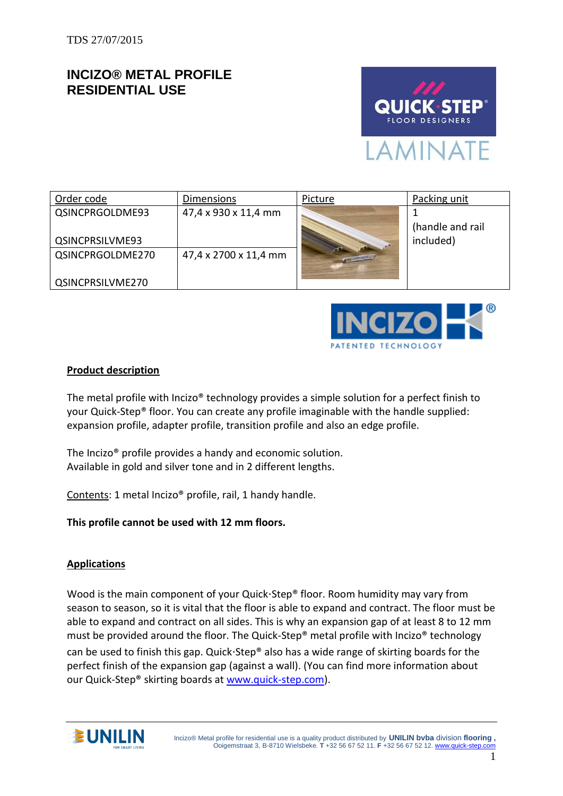# **INCIZO® METAL PROFILE RESIDENTIAL USE**



| Order code       | Dimensions            | Picture              | Packing unit     |
|------------------|-----------------------|----------------------|------------------|
| QSINCPRGOLDME93  | 47,4 x 930 x 11,4 mm  |                      |                  |
|                  |                       |                      | (handle and rail |
| QSINCPRSILVME93  |                       |                      | included)        |
| QSINCPRGOLDME270 | 47,4 x 2700 x 11,4 mm | <b>CAPPING SHEAP</b> |                  |
|                  |                       |                      |                  |
| QSINCPRSILVME270 |                       |                      |                  |



#### **Product description**

The metal profile with Incizo® technology provides a simple solution for a perfect finish to your Quick-Step® floor. You can create any profile imaginable with the handle supplied: expansion profile, adapter profile, transition profile and also an edge profile.

The Incizo® profile provides a handy and economic solution. Available in gold and silver tone and in 2 different lengths.

Contents: 1 metal Incizo® profile, rail, 1 handy handle.

**This profile cannot be used with 12 mm floors.**

#### **Applications**

Wood is the main component of your Quick $\cdot$ Step® floor. Room humidity may vary from season to season, so it is vital that the floor is able to expand and contract. The floor must be able to expand and contract on all sides. This is why an expansion gap of at least 8 to 12 mm must be provided around the floor. The Quick-Step® metal profile with Incizo® technology can be used to finish this gap. Quick Step<sup>®</sup> also has a wide range of skirting boards for the perfect finish of the expansion gap (against a wall). (You can find more information about our Quick-Step® skirting boards at [www.quick-step.com\)](http://www.quick-step.com/).

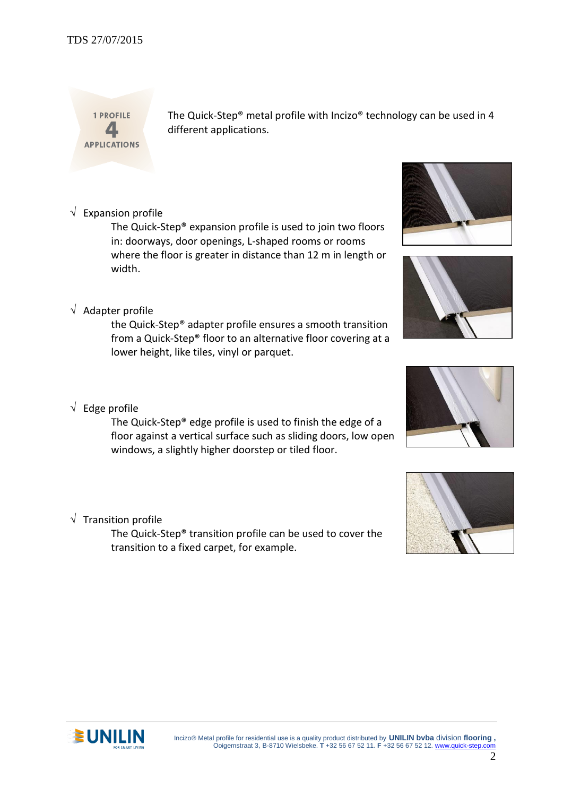Incizo® Metal profile for residential use is a quality product distributed by **UNILIN bvba** division **flooring ,** Ooigemstraat 3, B-8710 Wielsbeke. **T** +32 56 67 52 11. **F** +32 56 67 52 12[. www.quick-step.com](http://www.unilin.com/)

# TDS 27/07/2015

1 PROFILE  $\blacktriangle$ **APPLICATIONS**  The Quick-Step® metal profile with Incizo® technology can be used in 4 different applications.

 $\sqrt{\phantom{a}}$  Expansion profile

The Quick-Step® expansion profile is used to join two floors in: doorways, door openings, L-shaped rooms or rooms where the floor is greater in distance than 12 m in length or width.

# $\sqrt{\phantom{a}}$  Adapter profile

the Quick-Step® adapter profile ensures a smooth transition from a Quick-Step® floor to an alternative floor covering at a lower height, like tiles, vinyl or parquet.

# $\sqrt{\phantom{a}}$  Edge profile

The Quick-Step® edge profile is used to finish the edge of a floor against a vertical surface such as sliding doors, low open windows, a slightly higher doorstep or tiled floor.

# $\sqrt{\phantom{a}}$  Transition profile

The Quick-Step® transition profile can be used to cover the transition to a fixed carpet, for example.













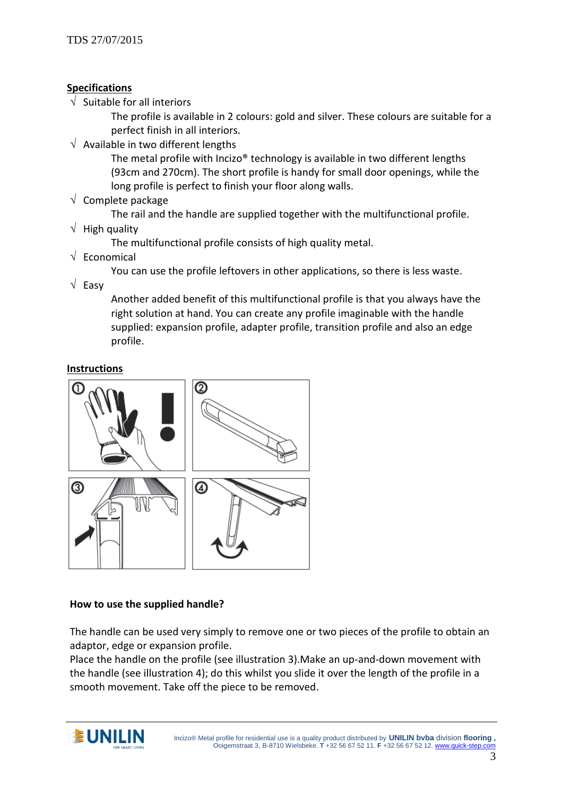#### **Specifications**

 $\sqrt{ }$  Suitable for all interiors

The profile is available in 2 colours: gold and silver. These colours are suitable for a perfect finish in all interiors.

 $\sqrt{\phantom{a}}$  Available in two different lengths

The metal profile with Incizo® technology is available in two different lengths (93cm and 270cm). The short profile is handy for small door openings, while the long profile is perfect to finish your floor along walls.

 $\sqrt{ }$  Complete package

The rail and the handle are supplied together with the multifunctional profile.

 $\sqrt{\phantom{a}}$  High quality

The multifunctional profile consists of high quality metal.

 $\sqrt{\phantom{a}}$  Economical

You can use the profile leftovers in other applications, so there is less waste.

 $\sqrt{\phantom{a}}$  Easy

Another added benefit of this multifunctional profile is that you always have the right solution at hand. You can create any profile imaginable with the handle supplied: expansion profile, adapter profile, transition profile and also an edge profile.

### **Instructions**



#### **How to use the supplied handle?**

The handle can be used very simply to remove one or two pieces of the profile to obtain an adaptor, edge or expansion profile.

Place the handle on the profile (see illustration 3).Make an up-and-down movement with the handle (see illustration 4); do this whilst you slide it over the length of the profile in a smooth movement. Take off the piece to be removed.

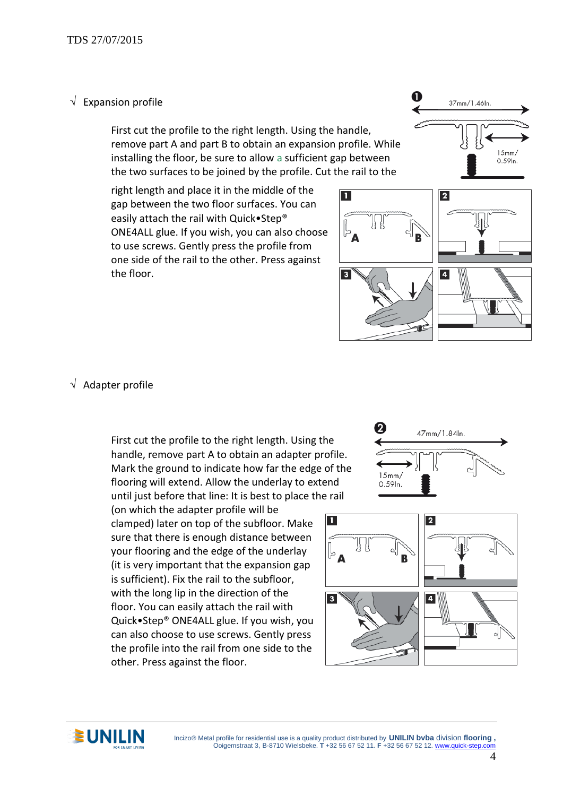### $\sqrt{\phantom{a}}$  Expansion profile

First cut the profile to the right length. Using the handle, remove part A and part B to obtain an expansion profile. While installing the floor, be sure to allow a sufficient gap between the two surfaces to be joined by the profile. Cut the rail to the

right length and place it in the middle of the gap between the two floor surfaces. You can easily attach the rail with Quick•Step® ONE4ALL glue. If you wish, you can also choose to use screws. Gently press the profile from one side of the rail to the other. Press against the floor.





### $\sqrt{\phantom{a}}$  Adapter profile

First cut the profile to the right length. Using the handle, remove part A to obtain an adapter profile. Mark the ground to indicate how far the edge of the flooring will extend. Allow the underlay to extend until just before that line: It is best to place the rail

(on which the adapter profile will be clamped) later on top of the subfloor. Make sure that there is enough distance between your flooring and the edge of the underlay (it is very important that the expansion gap is sufficient). Fix the rail to the subfloor, with the long lip in the direction of the floor. You can easily attach the rail with Quick•Step® ONE4ALL glue. If you wish, you can also choose to use screws. Gently press the profile into the rail from one side to the other. Press against the floor.







**CONILIN** Incizo® Metal profile for residential use is a quality product distributed by **UNILIN bvba** division flooring , Ooigemstraat 3, B-8710 Wielsbeke. **T** +32 56 67 52 11. **F** +32 56 67 52 12[. www.quick-step.com](http://www.unilin.com/)